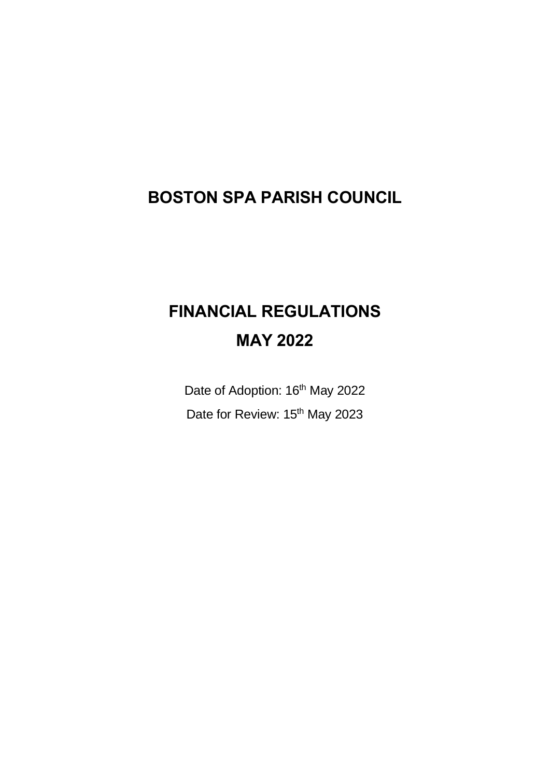# **BOSTON SPA PARISH COUNCIL**

# **FINANCIAL REGULATIONS MAY 2022**

Date of Adoption: 16<sup>th</sup> May 2022 Date for Review: 15<sup>th</sup> May 2023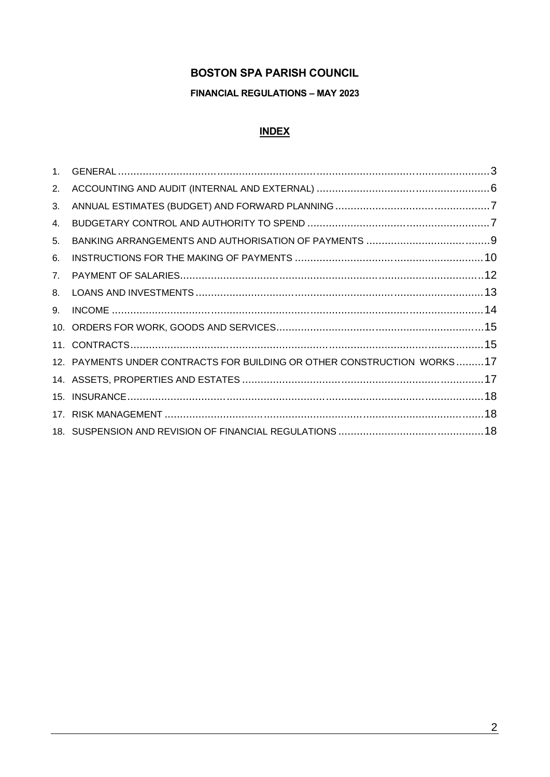#### **BOSTON SPA PARISH COUNCIL**

#### **FINANCIAL REGULATIONS - MAY 2023**

#### **INDEX**

| 1 <sup>1</sup> |                                                                         |  |
|----------------|-------------------------------------------------------------------------|--|
| 2.             |                                                                         |  |
| 3.             |                                                                         |  |
| 4.             |                                                                         |  |
| 5.             |                                                                         |  |
| 6.             |                                                                         |  |
| 7.             |                                                                         |  |
| 8.             |                                                                         |  |
| 9.             |                                                                         |  |
|                |                                                                         |  |
|                |                                                                         |  |
|                | 12. PAYMENTS UNDER CONTRACTS FOR BUILDING OR OTHER CONSTRUCTION WORKS17 |  |
|                |                                                                         |  |
|                |                                                                         |  |
|                |                                                                         |  |
|                |                                                                         |  |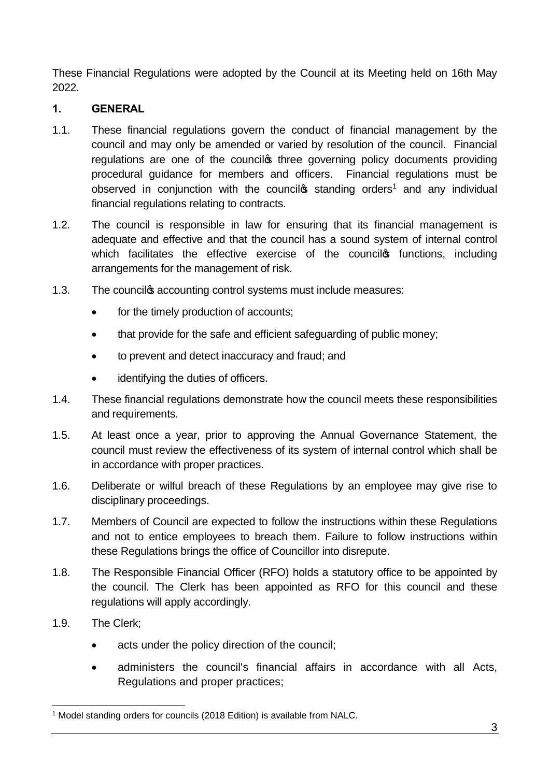These Financial Regulations were adopted by the Council at its Meeting held on 16th May 2022.

# **1. GENERAL**

- 1.1. These financial regulations govern the conduct of financial management by the council and may only be amended or varied by resolution of the council. Financial regulations are one of the council three governing policy documents providing procedural guidance for members and officers. Financial regulations must be observed in conjunction with the council<sup> $\sigma$ </sup> standing orders<sup>1</sup> and any individual financial regulations relating to contracts.
- 1.2. The council is responsible in law for ensuring that its financial management is adequate and effective and that the council has a sound system of internal control which facilitates the effective exercise of the council<sup>®</sup> functions, including arrangements for the management of risk.
- 1.3. The counciles accounting control systems must include measures:
	- for the timely production of accounts;
	- · that provide for the safe and efficient safeguarding of public money;
	- · to prevent and detect inaccuracy and fraud; and
	- identifying the duties of officers.
- 1.4. These financial regulations demonstrate how the council meets these responsibilities and requirements.
- 1.5. At least once a year, prior to approving the Annual Governance Statement, the council must review the effectiveness of its system of internal control which shall be in accordance with proper practices.
- 1.6. Deliberate or wilful breach of these Regulations by an employee may give rise to disciplinary proceedings.
- 1.7. Members of Council are expected to follow the instructions within these Regulations and not to entice employees to breach them. Failure to follow instructions within these Regulations brings the office of Councillor into disrepute.
- 1.8. The Responsible Financial Officer (RFO) holds a statutory office to be appointed by the council. The Clerk has been appointed as RFO for this council and these regulations will apply accordingly.
- 1.9. The Clerk;
	- acts under the policy direction of the council;
	- administers the council's financial affairs in accordance with all Acts, Regulations and proper practices;

<sup>&</sup>lt;sup>1</sup> Model standing orders for councils (2018 Edition) is available from NALC.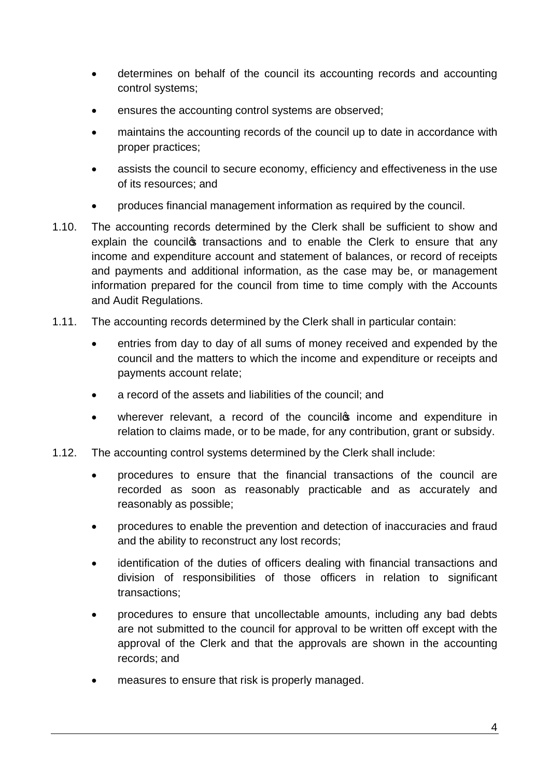- · determines on behalf of the council its accounting records and accounting control systems;
- ensures the accounting control systems are observed;
- · maintains the accounting records of the council up to date in accordance with proper practices;
- assists the council to secure economy, efficiency and effectiveness in the use of its resources; and
- · produces financial management information as required by the council.
- 1.10. The accounting records determined by the Clerk shall be sufficient to show and explain the councilgs transactions and to enable the Clerk to ensure that any income and expenditure account and statement of balances, or record of receipts and payments and additional information, as the case may be, or management information prepared for the council from time to time comply with the Accounts and Audit Regulations.
- 1.11. The accounting records determined by the Clerk shall in particular contain:
	- entries from day to day of all sums of money received and expended by the council and the matters to which the income and expenditure or receipts and payments account relate;
	- a record of the assets and liabilities of the council: and
	- wherever relevant, a record of the counciles income and expenditure in relation to claims made, or to be made, for any contribution, grant or subsidy.
- 1.12. The accounting control systems determined by the Clerk shall include:
	- · procedures to ensure that the financial transactions of the council are recorded as soon as reasonably practicable and as accurately and reasonably as possible;
	- · procedures to enable the prevention and detection of inaccuracies and fraud and the ability to reconstruct any lost records;
	- identification of the duties of officers dealing with financial transactions and division of responsibilities of those officers in relation to significant transactions;
	- · procedures to ensure that uncollectable amounts, including any bad debts are not submitted to the council for approval to be written off except with the approval of the Clerk and that the approvals are shown in the accounting records; and
	- measures to ensure that risk is properly managed.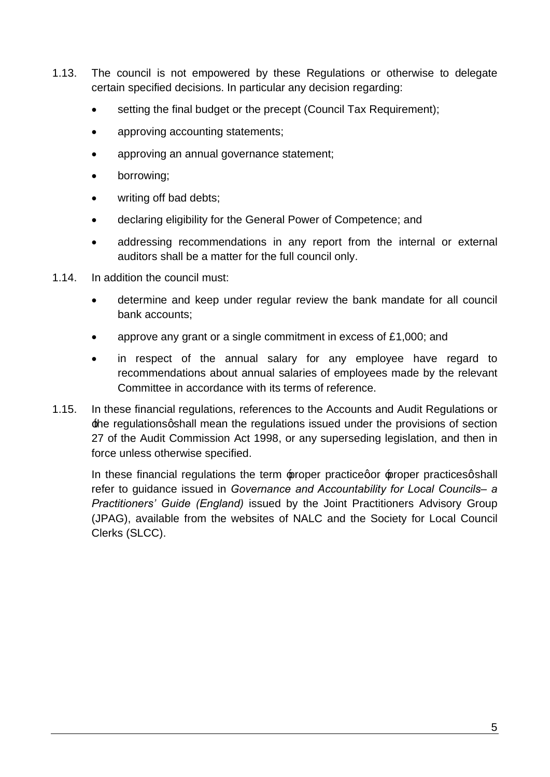- 1.13. The council is not empowered by these Regulations or otherwise to delegate certain specified decisions. In particular any decision regarding:
	- setting the final budget or the precept (Council Tax Requirement);
	- approving accounting statements;
	- approving an annual governance statement;
	- borrowing;
	- writing off bad debts:
	- · declaring eligibility for the General Power of Competence; and
	- addressing recommendations in any report from the internal or external auditors shall be a matter for the full council only.
- 1.14. In addition the council must:
	- determine and keep under regular review the bank mandate for all council bank accounts;
	- approve any grant or a single commitment in excess of  $£1,000$ ; and
	- in respect of the annual salary for any employee have regard to recommendations about annual salaries of employees made by the relevant Committee in accordance with its terms of reference.
- 1.15. In these financial regulations, references to the Accounts and Audit Regulations or the regulations qshall mean the regulations issued under the provisions of section 27 of the Audit Commission Act 1998, or any superseding legislation, and then in force unless otherwise specified.

In these financial regulations the term  $\psi$  proper practice proper practices as hall refer to guidance issued in *Governance and Accountability for Local Councils– a Practitioners' Guide (England)* issued by the Joint Practitioners Advisory Group (JPAG), available from the websites of NALC and the Society for Local Council Clerks (SLCC).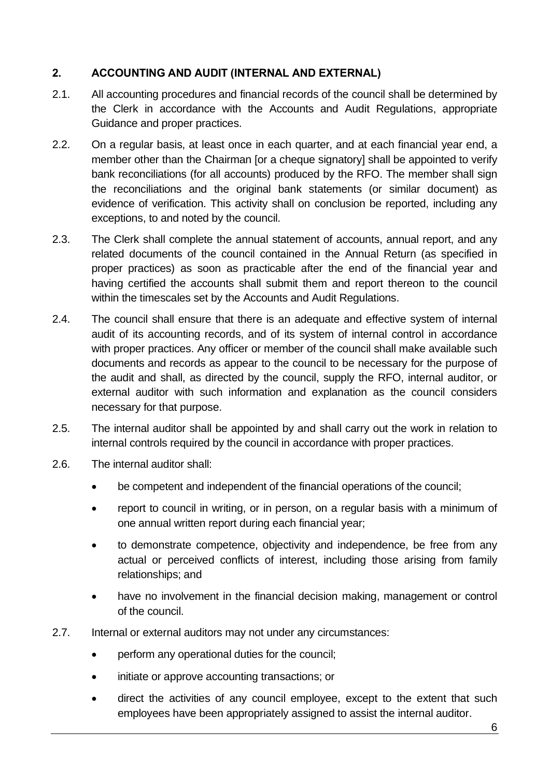#### **2. ACCOUNTING AND AUDIT (INTERNAL AND EXTERNAL)**

- 2.1. All accounting procedures and financial records of the council shall be determined by the Clerk in accordance with the Accounts and Audit Regulations, appropriate Guidance and proper practices.
- 2.2. On a regular basis, at least once in each quarter, and at each financial year end, a member other than the Chairman [or a cheque signatory] shall be appointed to verify bank reconciliations (for all accounts) produced by the RFO. The member shall sign the reconciliations and the original bank statements (or similar document) as evidence of verification. This activity shall on conclusion be reported, including any exceptions, to and noted by the council.
- 2.3. The Clerk shall complete the annual statement of accounts, annual report, and any related documents of the council contained in the Annual Return (as specified in proper practices) as soon as practicable after the end of the financial year and having certified the accounts shall submit them and report thereon to the council within the timescales set by the Accounts and Audit Regulations.
- 2.4. The council shall ensure that there is an adequate and effective system of internal audit of its accounting records, and of its system of internal control in accordance with proper practices. Any officer or member of the council shall make available such documents and records as appear to the council to be necessary for the purpose of the audit and shall, as directed by the council, supply the RFO, internal auditor, or external auditor with such information and explanation as the council considers necessary for that purpose.
- 2.5. The internal auditor shall be appointed by and shall carry out the work in relation to internal controls required by the council in accordance with proper practices.
- 2.6. The internal auditor shall:
	- be competent and independent of the financial operations of the council;
	- report to council in writing, or in person, on a regular basis with a minimum of one annual written report during each financial year;
	- to demonstrate competence, objectivity and independence, be free from any actual or perceived conflicts of interest, including those arising from family relationships; and
	- have no involvement in the financial decision making, management or control of the council.
- 2.7. Internal or external auditors may not under any circumstances:
	- perform any operational duties for the council:
	- initiate or approve accounting transactions; or
	- direct the activities of any council employee, except to the extent that such employees have been appropriately assigned to assist the internal auditor.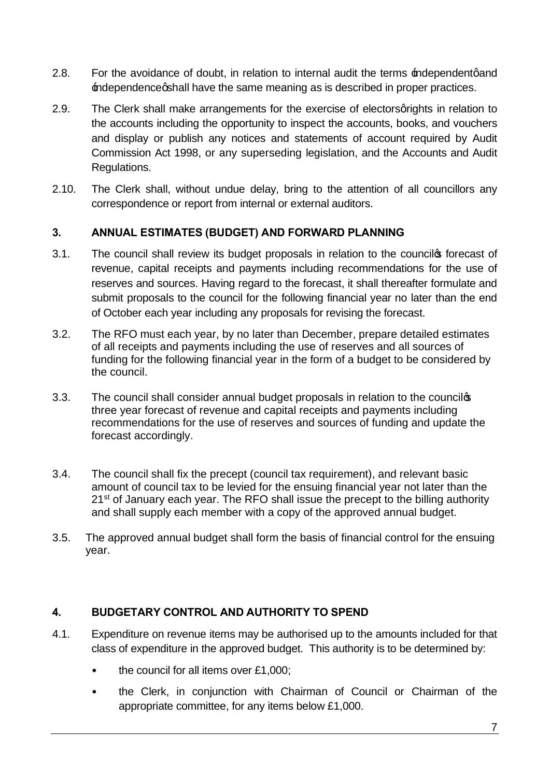- 2.8. For the avoidance of doubt, in relation to internal audit the terms independent qand independence ashall have the same meaning as is described in proper practices.
- 2.9. The Clerk shall make arrangements for the exercise of electors grights in relation to the accounts including the opportunity to inspect the accounts, books, and vouchers and display or publish any notices and statements of account required by Audit Commission Act 1998, or any superseding legislation, and the Accounts and Audit Regulations.
- 2.10. The Clerk shall, without undue delay, bring to the attention of all councillors any correspondence or report from internal or external auditors.

#### **3. ANNUAL ESTIMATES (BUDGET) AND FORWARD PLANNING**

- 3.1. The council shall review its budget proposals in relation to the councilos forecast of revenue, capital receipts and payments including recommendations for the use of reserves and sources. Having regard to the forecast, it shall thereafter formulate and submit proposals to the council for the following financial year no later than the end of October each year including any proposals for revising the forecast.
- 3.2. The RFO must each year, by no later than December, prepare detailed estimates of all receipts and payments including the use of reserves and all sources of funding for the following financial year in the form of a budget to be considered by the council.
- 3.3. The council shall consider annual budget proposals in relation to the councilgs three year forecast of revenue and capital receipts and payments including recommendations for the use of reserves and sources of funding and update the forecast accordingly.
- 3.4. The council shall fix the precept (council tax requirement), and relevant basic amount of council tax to be levied for the ensuing financial year not later than the 21<sup>st</sup> of January each year. The RFO shall issue the precept to the billing authority and shall supply each member with a copy of the approved annual budget.
- 3.5. The approved annual budget shall form the basis of financial control for the ensuing year.

#### **4. BUDGETARY CONTROL AND AUTHORITY TO SPEND**

- 4.1. Expenditure on revenue items may be authorised up to the amounts included for that class of expenditure in the approved budget. This authority is to be determined by:
	- the council for all items over £1,000;
	- the Clerk, in conjunction with Chairman of Council or Chairman of the appropriate committee, for any items below £1,000.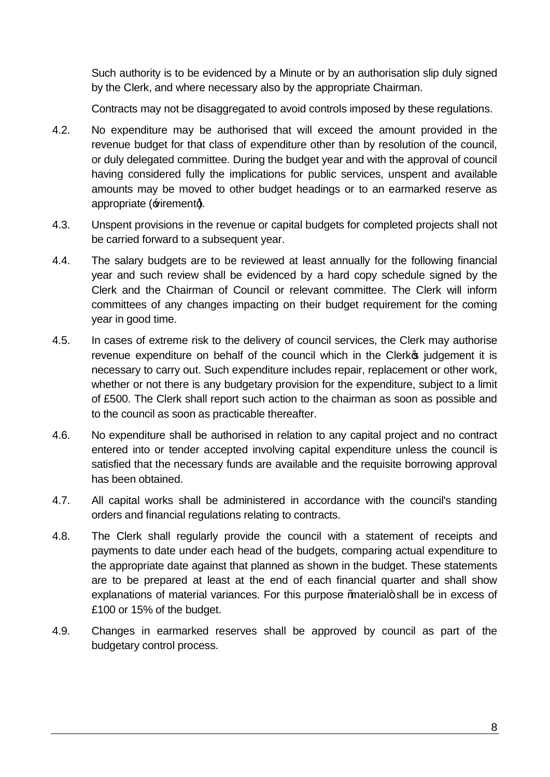Such authority is to be evidenced by a Minute or by an authorisation slip duly signed by the Clerk, and where necessary also by the appropriate Chairman.

Contracts may not be disaggregated to avoid controls imposed by these regulations.

- 4.2. No expenditure may be authorised that will exceed the amount provided in the revenue budget for that class of expenditure other than by resolution of the council, or duly delegated committee. During the budget year and with the approval of council having considered fully the implications for public services, unspent and available amounts may be moved to other budget headings or to an earmarked reserve as appropriate  $\forall$ irement $\Diamond$ .
- 4.3. Unspent provisions in the revenue or capital budgets for completed projects shall not be carried forward to a subsequent year.
- 4.4. The salary budgets are to be reviewed at least annually for the following financial year and such review shall be evidenced by a hard copy schedule signed by the Clerk and the Chairman of Council or relevant committee. The Clerk will inform committees of any changes impacting on their budget requirement for the coming year in good time.
- 4.5. In cases of extreme risk to the delivery of council services, the Clerk may authorise revenue expenditure on behalf of the council which in the Clerk indepenent it is necessary to carry out. Such expenditure includes repair, replacement or other work, whether or not there is any budgetary provision for the expenditure, subject to a limit of £500. The Clerk shall report such action to the chairman as soon as possible and to the council as soon as practicable thereafter.
- 4.6. No expenditure shall be authorised in relation to any capital project and no contract entered into or tender accepted involving capital expenditure unless the council is satisfied that the necessary funds are available and the requisite borrowing approval has been obtained.
- 4.7. All capital works shall be administered in accordance with the council's standing orders and financial regulations relating to contracts.
- 4.8. The Clerk shall regularly provide the council with a statement of receipts and payments to date under each head of the budgets, comparing actual expenditure to the appropriate date against that planned as shown in the budget. These statements are to be prepared at least at the end of each financial quarter and shall show explanations of material variances. For this purpose 'material+ shall be in excess of £100 or 15% of the budget.
- 4.9. Changes in earmarked reserves shall be approved by council as part of the budgetary control process.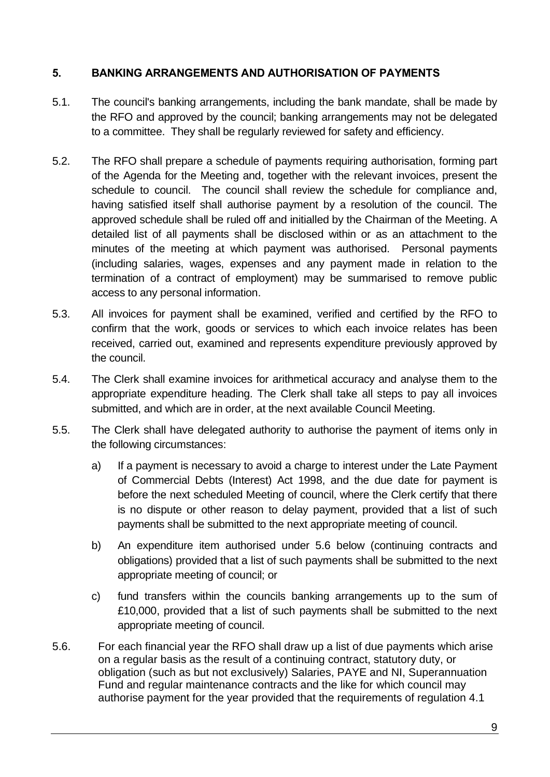#### **5. BANKING ARRANGEMENTS AND AUTHORISATION OF PAYMENTS**

- 5.1. The council's banking arrangements, including the bank mandate, shall be made by the RFO and approved by the council; banking arrangements may not be delegated to a committee. They shall be regularly reviewed for safety and efficiency.
- 5.2. The RFO shall prepare a schedule of payments requiring authorisation, forming part of the Agenda for the Meeting and, together with the relevant invoices, present the schedule to council. The council shall review the schedule for compliance and, having satisfied itself shall authorise payment by a resolution of the council. The approved schedule shall be ruled off and initialled by the Chairman of the Meeting. A detailed list of all payments shall be disclosed within or as an attachment to the minutes of the meeting at which payment was authorised. Personal payments (including salaries, wages, expenses and any payment made in relation to the termination of a contract of employment) may be summarised to remove public access to any personal information.
- 5.3. All invoices for payment shall be examined, verified and certified by the RFO to confirm that the work, goods or services to which each invoice relates has been received, carried out, examined and represents expenditure previously approved by the council.
- 5.4. The Clerk shall examine invoices for arithmetical accuracy and analyse them to the appropriate expenditure heading. The Clerk shall take all steps to pay all invoices submitted, and which are in order, at the next available Council Meeting.
- 5.5. The Clerk shall have delegated authority to authorise the payment of items only in the following circumstances:
	- a) If a payment is necessary to avoid a charge to interest under the Late Payment of Commercial Debts (Interest) Act 1998, and the due date for payment is before the next scheduled Meeting of council, where the Clerk certify that there is no dispute or other reason to delay payment, provided that a list of such payments shall be submitted to the next appropriate meeting of council.
	- b) An expenditure item authorised under 5.6 below (continuing contracts and obligations) provided that a list of such payments shall be submitted to the next appropriate meeting of council; or
	- c) fund transfers within the councils banking arrangements up to the sum of £10,000, provided that a list of such payments shall be submitted to the next appropriate meeting of council.
- 5.6. For each financial year the RFO shall draw up a list of due payments which arise on a regular basis as the result of a continuing contract, statutory duty, or obligation (such as but not exclusively) Salaries, PAYE and NI, Superannuation Fund and regular maintenance contracts and the like for which council may authorise payment for the year provided that the requirements of regulation 4.1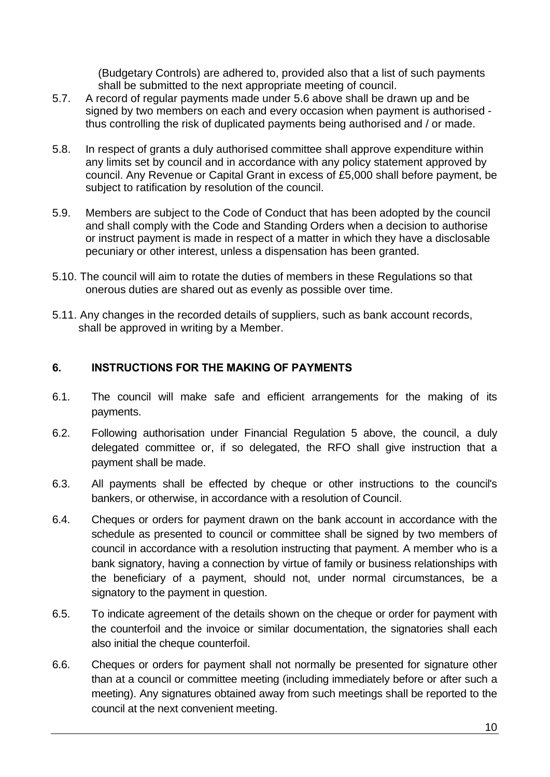(Budgetary Controls) are adhered to, provided also that a list of such payments shall be submitted to the next appropriate meeting of council.

- 5.7. A record of regular payments made under 5.6 above shall be drawn up and be signed by two members on each and every occasion when payment is authorised thus controlling the risk of duplicated payments being authorised and / or made.
- 5.8. In respect of grants a duly authorised committee shall approve expenditure within any limits set by council and in accordance with any policy statement approved by council. Any Revenue or Capital Grant in excess of £5,000 shall before payment, be subject to ratification by resolution of the council.
- 5.9. Members are subject to the Code of Conduct that has been adopted by the council and shall comply with the Code and Standing Orders when a decision to authorise or instruct payment is made in respect of a matter in which they have a disclosable pecuniary or other interest, unless a dispensation has been granted.
- 5.10. The council will aim to rotate the duties of members in these Regulations so that onerous duties are shared out as evenly as possible over time.
- 5.11. Any changes in the recorded details of suppliers, such as bank account records, shall be approved in writing by a Member.

#### **6. INSTRUCTIONS FOR THE MAKING OF PAYMENTS**

- 6.1. The council will make safe and efficient arrangements for the making of its payments.
- 6.2. Following authorisation under Financial Regulation 5 above, the council, a duly delegated committee or, if so delegated, the RFO shall give instruction that a payment shall be made.
- 6.3. All payments shall be effected by cheque or other instructions to the council's bankers, or otherwise, in accordance with a resolution of Council.
- 6.4. Cheques or orders for payment drawn on the bank account in accordance with the schedule as presented to council or committee shall be signed by two members of council in accordance with a resolution instructing that payment. A member who is a bank signatory, having a connection by virtue of family or business relationships with the beneficiary of a payment, should not, under normal circumstances, be a signatory to the payment in question.
- 6.5. To indicate agreement of the details shown on the cheque or order for payment with the counterfoil and the invoice or similar documentation, the signatories shall each also initial the cheque counterfoil.
- 6.6. Cheques or orders for payment shall not normally be presented for signature other than at a council or committee meeting (including immediately before or after such a meeting). Any signatures obtained away from such meetings shall be reported to the council at the next convenient meeting.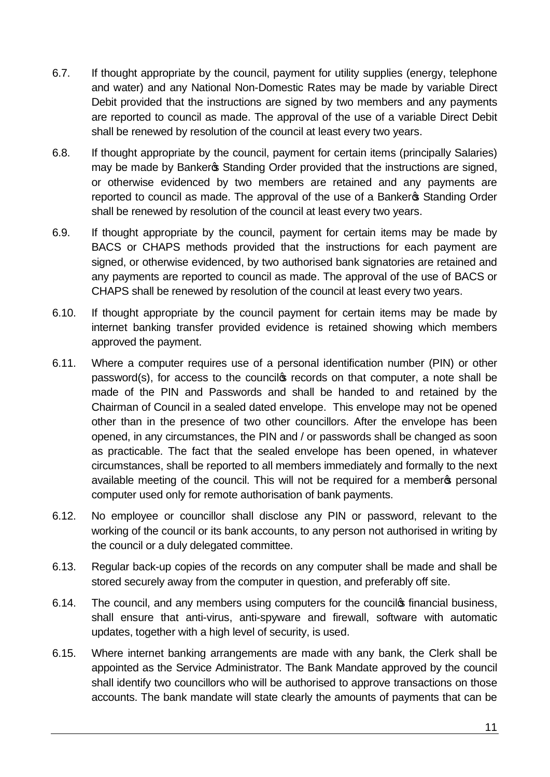- 6.7. If thought appropriate by the council, payment for utility supplies (energy, telephone and water) and any National Non-Domestic Rates may be made by variable Direct Debit provided that the instructions are signed by two members and any payments are reported to council as made. The approval of the use of a variable Direct Debit shall be renewed by resolution of the council at least every two years.
- 6.8. If thought appropriate by the council, payment for certain items (principally Salaries) may be made by Bankers Standing Order provided that the instructions are signed. or otherwise evidenced by two members are retained and any payments are reported to council as made. The approval of the use of a Banker<sup>®</sup> Standing Order shall be renewed by resolution of the council at least every two years.
- 6.9. If thought appropriate by the council, payment for certain items may be made by BACS or CHAPS methods provided that the instructions for each payment are signed, or otherwise evidenced, by two authorised bank signatories are retained and any payments are reported to council as made. The approval of the use of BACS or CHAPS shall be renewed by resolution of the council at least every two years.
- 6.10. If thought appropriate by the council payment for certain items may be made by internet banking transfer provided evidence is retained showing which members approved the payment.
- 6.11. Where a computer requires use of a personal identification number (PIN) or other password(s), for access to the councilos records on that computer, a note shall be made of the PIN and Passwords and shall be handed to and retained by the Chairman of Council in a sealed dated envelope. This envelope may not be opened other than in the presence of two other councillors. After the envelope has been opened, in any circumstances, the PIN and / or passwords shall be changed as soon as practicable. The fact that the sealed envelope has been opened, in whatever circumstances, shall be reported to all members immediately and formally to the next available meeting of the council. This will not be required for a member opersonal computer used only for remote authorisation of bank payments.
- 6.12. No employee or councillor shall disclose any PIN or password, relevant to the working of the council or its bank accounts, to any person not authorised in writing by the council or a duly delegated committee.
- 6.13. Regular back-up copies of the records on any computer shall be made and shall be stored securely away from the computer in question, and preferably off site.
- 6.14. The council, and any members using computers for the counciles financial business, shall ensure that anti-virus, anti-spyware and firewall, software with automatic updates, together with a high level of security, is used.
- 6.15. Where internet banking arrangements are made with any bank, the Clerk shall be appointed as the Service Administrator. The Bank Mandate approved by the council shall identify two councillors who will be authorised to approve transactions on those accounts. The bank mandate will state clearly the amounts of payments that can be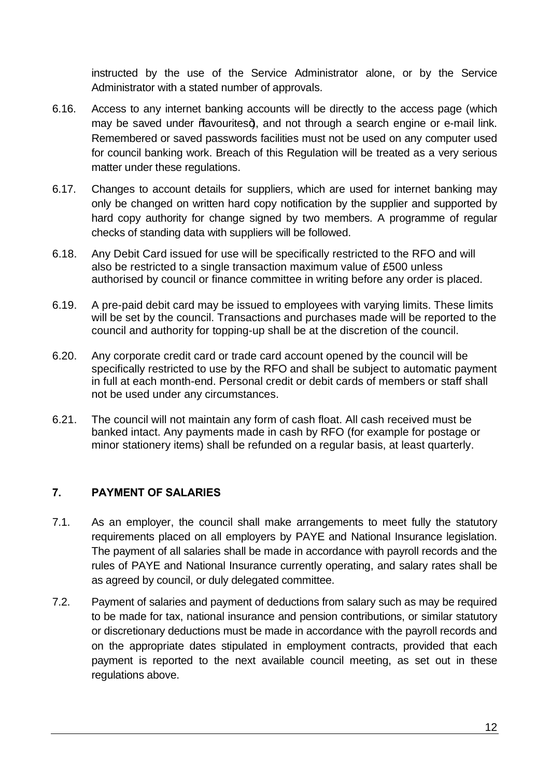instructed by the use of the Service Administrator alone, or by the Service Administrator with a stated number of approvals.

- 6.16. Access to any internet banking accounts will be directly to the access page (which may be saved under *%*avourites+), and not through a search engine or e-mail link. Remembered or saved passwords facilities must not be used on any computer used for council banking work. Breach of this Regulation will be treated as a very serious matter under these regulations.
- 6.17. Changes to account details for suppliers, which are used for internet banking may only be changed on written hard copy notification by the supplier and supported by hard copy authority for change signed by two members. A programme of regular checks of standing data with suppliers will be followed.
- 6.18. Any Debit Card issued for use will be specifically restricted to the RFO and will also be restricted to a single transaction maximum value of £500 unless authorised by council or finance committee in writing before any order is placed.
- 6.19. A pre-paid debit card may be issued to employees with varying limits. These limits will be set by the council. Transactions and purchases made will be reported to the council and authority for topping-up shall be at the discretion of the council.
- 6.20. Any corporate credit card or trade card account opened by the council will be specifically restricted to use by the RFO and shall be subject to automatic payment in full at each month-end. Personal credit or debit cards of members or staff shall not be used under any circumstances.
- 6.21. The council will not maintain any form of cash float. All cash received must be banked intact. Any payments made in cash by RFO (for example for postage or minor stationery items) shall be refunded on a regular basis, at least quarterly.

# **7. PAYMENT OF SALARIES**

- 7.1. As an employer, the council shall make arrangements to meet fully the statutory requirements placed on all employers by PAYE and National Insurance legislation. The payment of all salaries shall be made in accordance with payroll records and the rules of PAYE and National Insurance currently operating, and salary rates shall be as agreed by council, or duly delegated committee.
- 7.2. Payment of salaries and payment of deductions from salary such as may be required to be made for tax, national insurance and pension contributions, or similar statutory or discretionary deductions must be made in accordance with the payroll records and on the appropriate dates stipulated in employment contracts, provided that each payment is reported to the next available council meeting, as set out in these regulations above.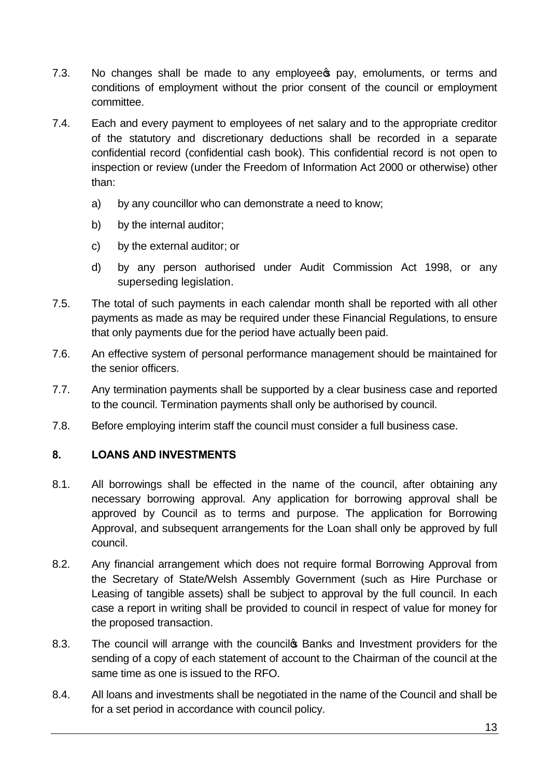- 7.3. No changes shall be made to any employee pay, emoluments, or terms and conditions of employment without the prior consent of the council or employment committee.
- 7.4. Each and every payment to employees of net salary and to the appropriate creditor of the statutory and discretionary deductions shall be recorded in a separate confidential record (confidential cash book). This confidential record is not open to inspection or review (under the Freedom of Information Act 2000 or otherwise) other than:
	- a) by any councillor who can demonstrate a need to know;
	- b) by the internal auditor:
	- c) by the external auditor; or
	- d) by any person authorised under Audit Commission Act 1998, or any superseding legislation.
- 7.5. The total of such payments in each calendar month shall be reported with all other payments as made as may be required under these Financial Regulations, to ensure that only payments due for the period have actually been paid.
- 7.6. An effective system of personal performance management should be maintained for the senior officers.
- 7.7. Any termination payments shall be supported by a clear business case and reported to the council. Termination payments shall only be authorised by council.
- 7.8. Before employing interim staff the council must consider a full business case.

# **8. LOANS AND INVESTMENTS**

- 8.1. All borrowings shall be effected in the name of the council, after obtaining any necessary borrowing approval. Any application for borrowing approval shall be approved by Council as to terms and purpose. The application for Borrowing Approval, and subsequent arrangements for the Loan shall only be approved by full council.
- 8.2. Any financial arrangement which does not require formal Borrowing Approval from the Secretary of State/Welsh Assembly Government (such as Hire Purchase or Leasing of tangible assets) shall be subject to approval by the full council. In each case a report in writing shall be provided to council in respect of value for money for the proposed transaction.
- 8.3. The council will arrange with the council **Banks and Investment providers for the** sending of a copy of each statement of account to the Chairman of the council at the same time as one is issued to the RFO.
- 8.4. All loans and investments shall be negotiated in the name of the Council and shall be for a set period in accordance with council policy.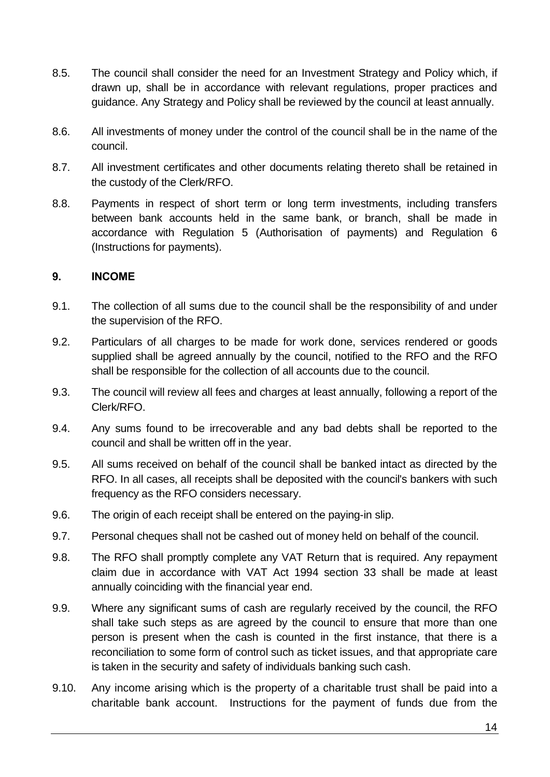- 8.5. The council shall consider the need for an Investment Strategy and Policy which, if drawn up, shall be in accordance with relevant regulations, proper practices and guidance. Any Strategy and Policy shall be reviewed by the council at least annually.
- 8.6. All investments of money under the control of the council shall be in the name of the council.
- 8.7. All investment certificates and other documents relating thereto shall be retained in the custody of the Clerk/RFO.
- 8.8. Payments in respect of short term or long term investments, including transfers between bank accounts held in the same bank, or branch, shall be made in accordance with Regulation 5 (Authorisation of payments) and Regulation 6 (Instructions for payments).

#### **9. INCOME**

- 9.1. The collection of all sums due to the council shall be the responsibility of and under the supervision of the RFO.
- 9.2. Particulars of all charges to be made for work done, services rendered or goods supplied shall be agreed annually by the council, notified to the RFO and the RFO shall be responsible for the collection of all accounts due to the council.
- 9.3. The council will review all fees and charges at least annually, following a report of the Clerk/RFO.
- 9.4. Any sums found to be irrecoverable and any bad debts shall be reported to the council and shall be written off in the year.
- 9.5. All sums received on behalf of the council shall be banked intact as directed by the RFO. In all cases, all receipts shall be deposited with the council's bankers with such frequency as the RFO considers necessary.
- 9.6. The origin of each receipt shall be entered on the paying-in slip.
- 9.7. Personal cheques shall not be cashed out of money held on behalf of the council.
- 9.8. The RFO shall promptly complete any VAT Return that is required. Any repayment claim due in accordance with VAT Act 1994 section 33 shall be made at least annually coinciding with the financial year end.
- 9.9. Where any significant sums of cash are regularly received by the council, the RFO shall take such steps as are agreed by the council to ensure that more than one person is present when the cash is counted in the first instance, that there is a reconciliation to some form of control such as ticket issues, and that appropriate care is taken in the security and safety of individuals banking such cash.
- 9.10. Any income arising which is the property of a charitable trust shall be paid into a charitable bank account. Instructions for the payment of funds due from the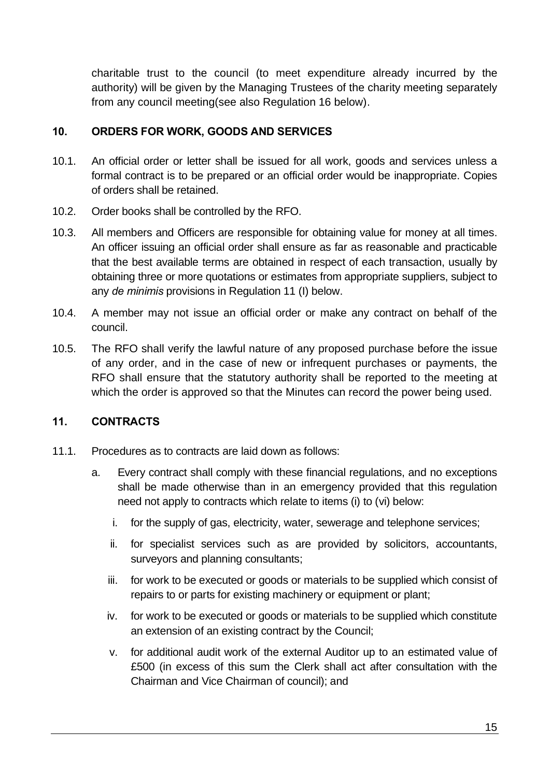charitable trust to the council (to meet expenditure already incurred by the authority) will be given by the Managing Trustees of the charity meeting separately from any council meeting(see also Regulation 16 below).

#### **10. ORDERS FOR WORK, GOODS AND SERVICES**

- 10.1. An official order or letter shall be issued for all work, goods and services unless a formal contract is to be prepared or an official order would be inappropriate. Copies of orders shall be retained.
- 10.2. Order books shall be controlled by the RFO.
- 10.3. All members and Officers are responsible for obtaining value for money at all times. An officer issuing an official order shall ensure as far as reasonable and practicable that the best available terms are obtained in respect of each transaction, usually by obtaining three or more quotations or estimates from appropriate suppliers, subject to any *de minimis* provisions in Regulation 11 (I) below.
- 10.4. A member may not issue an official order or make any contract on behalf of the council.
- 10.5. The RFO shall verify the lawful nature of any proposed purchase before the issue of any order, and in the case of new or infrequent purchases or payments, the RFO shall ensure that the statutory authority shall be reported to the meeting at which the order is approved so that the Minutes can record the power being used.

# **11. CONTRACTS**

- 11.1. Procedures as to contracts are laid down as follows:
	- a. Every contract shall comply with these financial regulations, and no exceptions shall be made otherwise than in an emergency provided that this regulation need not apply to contracts which relate to items (i) to (vi) below:
		- i. for the supply of gas, electricity, water, sewerage and telephone services;
		- ii. for specialist services such as are provided by solicitors, accountants, surveyors and planning consultants;
		- iii. for work to be executed or goods or materials to be supplied which consist of repairs to or parts for existing machinery or equipment or plant;
		- iv. for work to be executed or goods or materials to be supplied which constitute an extension of an existing contract by the Council;
		- v. for additional audit work of the external Auditor up to an estimated value of £500 (in excess of this sum the Clerk shall act after consultation with the Chairman and Vice Chairman of council); and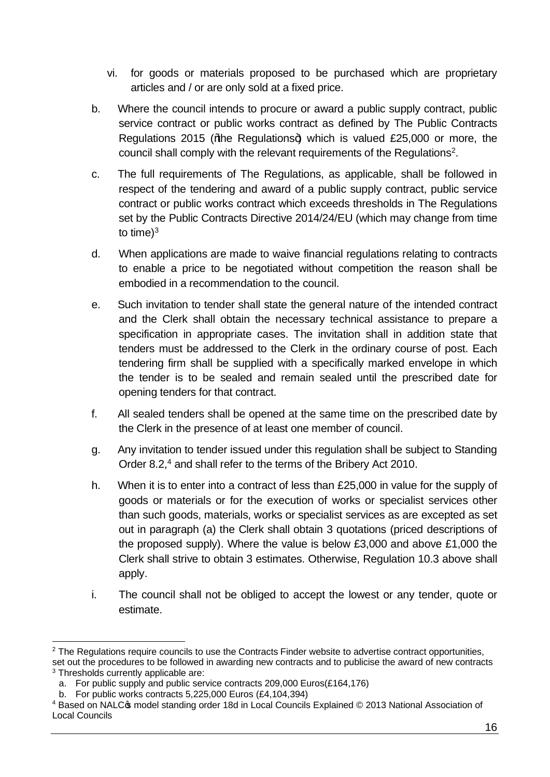- vi. for goods or materials proposed to be purchased which are proprietary articles and / or are only sold at a fixed price.
- b. Where the council intends to procure or award a public supply contract, public service contract or public works contract as defined by The Public Contracts Regulations 2015 (% be Regulations +) which is valued £25,000 or more, the council shall comply with the relevant requirements of the Regulations<sup>2</sup>.
- c. The full requirements of The Regulations, as applicable, shall be followed in respect of the tendering and award of a public supply contract, public service contract or public works contract which exceeds thresholds in The Regulations set by the Public Contracts Directive 2014/24/EU (which may change from time to time $)^3$
- d. When applications are made to waive financial regulations relating to contracts to enable a price to be negotiated without competition the reason shall be embodied in a recommendation to the council.
- e. Such invitation to tender shall state the general nature of the intended contract and the Clerk shall obtain the necessary technical assistance to prepare a specification in appropriate cases. The invitation shall in addition state that tenders must be addressed to the Clerk in the ordinary course of post. Each tendering firm shall be supplied with a specifically marked envelope in which the tender is to be sealed and remain sealed until the prescribed date for opening tenders for that contract.
- f. All sealed tenders shall be opened at the same time on the prescribed date by the Clerk in the presence of at least one member of council.
- g. Any invitation to tender issued under this regulation shall be subject to Standing Order 8.2, <sup>4</sup> and shall refer to the terms of the Bribery Act 2010.
- h. When it is to enter into a contract of less than £25,000 in value for the supply of goods or materials or for the execution of works or specialist services other than such goods, materials, works or specialist services as are excepted as set out in paragraph (a) the Clerk shall obtain 3 quotations (priced descriptions of the proposed supply). Where the value is below £3,000 and above £1,000 the Clerk shall strive to obtain 3 estimates. Otherwise, Regulation 10.3 above shall apply.
- i. The council shall not be obliged to accept the lowest or any tender, quote or estimate.

<sup>&</sup>lt;sup>2</sup> The Regulations require councils to use the Contracts Finder website to advertise contract opportunities, set out the procedures to be followed in awarding new contracts and to publicise the award of new contracts <sup>3</sup> Thresholds currently applicable are:

a. For public supply and public service contracts 209,000 Euros(£164,176)

b. For public works contracts 5,225,000 Euros (£4,104,394)

<sup>4</sup> Based on NALC's model standing order 18d in Local Councils Explained © 2013 National Association of Local Councils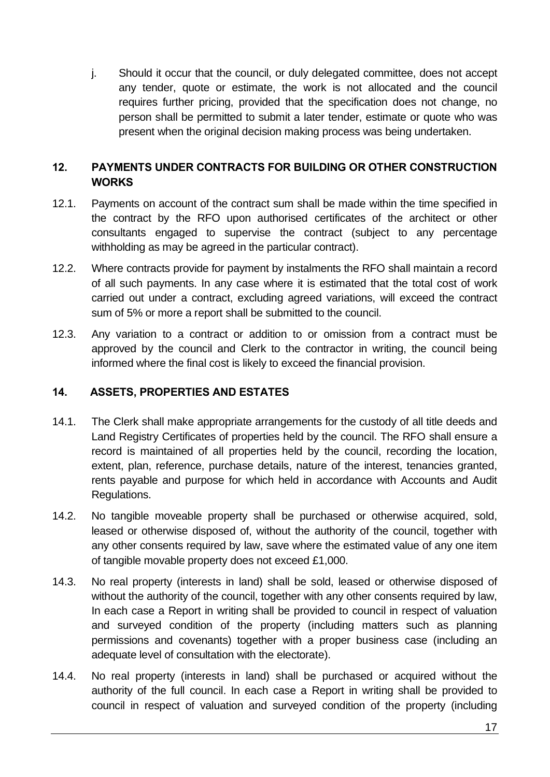j. Should it occur that the council, or duly delegated committee, does not accept any tender, quote or estimate, the work is not allocated and the council requires further pricing, provided that the specification does not change, no person shall be permitted to submit a later tender, estimate or quote who was present when the original decision making process was being undertaken.

#### **12. PAYMENTS UNDER CONTRACTS FOR BUILDING OR OTHER CONSTRUCTION WORKS**

- 12.1. Payments on account of the contract sum shall be made within the time specified in the contract by the RFO upon authorised certificates of the architect or other consultants engaged to supervise the contract (subject to any percentage withholding as may be agreed in the particular contract).
- 12.2. Where contracts provide for payment by instalments the RFO shall maintain a record of all such payments. In any case where it is estimated that the total cost of work carried out under a contract, excluding agreed variations, will exceed the contract sum of 5% or more a report shall be submitted to the council.
- 12.3. Any variation to a contract or addition to or omission from a contract must be approved by the council and Clerk to the contractor in writing, the council being informed where the final cost is likely to exceed the financial provision.

#### **14. ASSETS, PROPERTIES AND ESTATES**

- 14.1. The Clerk shall make appropriate arrangements for the custody of all title deeds and Land Registry Certificates of properties held by the council. The RFO shall ensure a record is maintained of all properties held by the council, recording the location, extent, plan, reference, purchase details, nature of the interest, tenancies granted, rents payable and purpose for which held in accordance with Accounts and Audit Regulations.
- 14.2. No tangible moveable property shall be purchased or otherwise acquired, sold, leased or otherwise disposed of, without the authority of the council, together with any other consents required by law, save where the estimated value of any one item of tangible movable property does not exceed £1,000.
- 14.3. No real property (interests in land) shall be sold, leased or otherwise disposed of without the authority of the council, together with any other consents required by law, In each case a Report in writing shall be provided to council in respect of valuation and surveyed condition of the property (including matters such as planning permissions and covenants) together with a proper business case (including an adequate level of consultation with the electorate).
- 14.4. No real property (interests in land) shall be purchased or acquired without the authority of the full council. In each case a Report in writing shall be provided to council in respect of valuation and surveyed condition of the property (including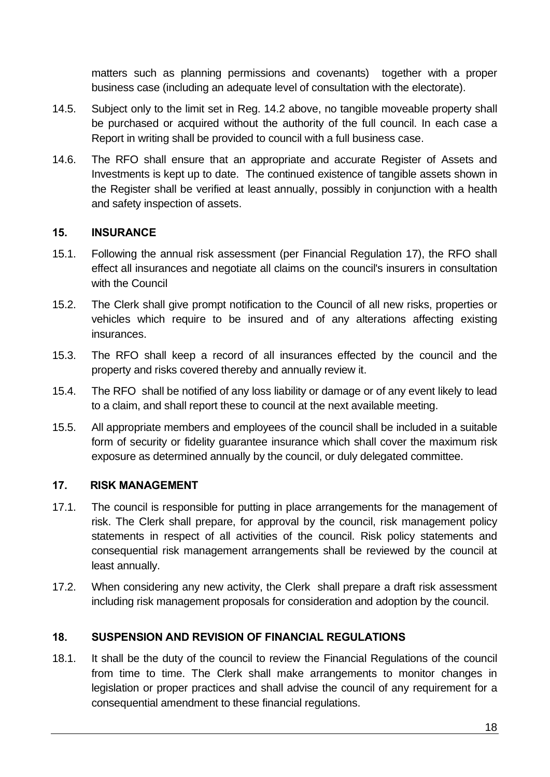matters such as planning permissions and covenants) together with a proper business case (including an adequate level of consultation with the electorate).

- 14.5. Subject only to the limit set in Reg. 14.2 above, no tangible moveable property shall be purchased or acquired without the authority of the full council. In each case a Report in writing shall be provided to council with a full business case.
- 14.6. The RFO shall ensure that an appropriate and accurate Register of Assets and Investments is kept up to date. The continued existence of tangible assets shown in the Register shall be verified at least annually, possibly in conjunction with a health and safety inspection of assets.

#### **15. INSURANCE**

- 15.1. Following the annual risk assessment (per Financial Regulation 17), the RFO shall effect all insurances and negotiate all claims on the council's insurers in consultation with the Council
- 15.2. The Clerk shall give prompt notification to the Council of all new risks, properties or vehicles which require to be insured and of any alterations affecting existing insurances.
- 15.3. The RFO shall keep a record of all insurances effected by the council and the property and risks covered thereby and annually review it.
- 15.4. The RFO shall be notified of any loss liability or damage or of any event likely to lead to a claim, and shall report these to council at the next available meeting.
- 15.5. All appropriate members and employees of the council shall be included in a suitable form of security or fidelity guarantee insurance which shall cover the maximum risk exposure as determined annually by the council, or duly delegated committee.

#### **17. RISK MANAGEMENT**

- 17.1. The council is responsible for putting in place arrangements for the management of risk. The Clerk shall prepare, for approval by the council, risk management policy statements in respect of all activities of the council. Risk policy statements and consequential risk management arrangements shall be reviewed by the council at least annually.
- 17.2. When considering any new activity, the Clerk shall prepare a draft risk assessment including risk management proposals for consideration and adoption by the council.

# **18. SUSPENSION AND REVISION OF FINANCIAL REGULATIONS**

18.1. It shall be the duty of the council to review the Financial Regulations of the council from time to time. The Clerk shall make arrangements to monitor changes in legislation or proper practices and shall advise the council of any requirement for a consequential amendment to these financial regulations.